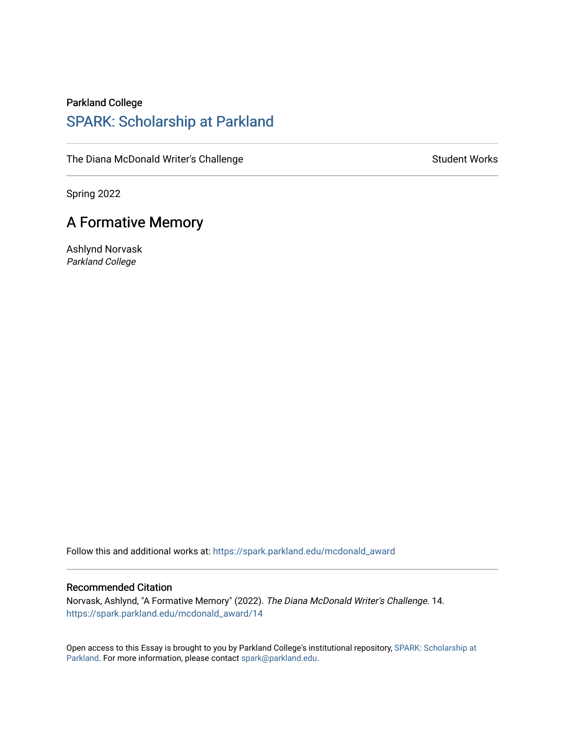## Parkland College [SPARK: Scholarship at Parkland](https://spark.parkland.edu/)

[The Diana McDonald Writer's Challenge](https://spark.parkland.edu/mcdonald_award) [Student Works](https://spark.parkland.edu/student_works) Student Works

Spring 2022

## A Formative Memory

Ashlynd Norvask Parkland College

Follow this and additional works at: [https://spark.parkland.edu/mcdonald\\_award](https://spark.parkland.edu/mcdonald_award?utm_source=spark.parkland.edu%2Fmcdonald_award%2F14&utm_medium=PDF&utm_campaign=PDFCoverPages)

## Recommended Citation

Norvask, Ashlynd, "A Formative Memory" (2022). The Diana McDonald Writer's Challenge. 14. [https://spark.parkland.edu/mcdonald\\_award/14](https://spark.parkland.edu/mcdonald_award/14?utm_source=spark.parkland.edu%2Fmcdonald_award%2F14&utm_medium=PDF&utm_campaign=PDFCoverPages) 

Open access to this Essay is brought to you by Parkland College's institutional repository, [SPARK: Scholarship at](http://spark.parkland.edu/)  [Parkland](http://spark.parkland.edu/). For more information, please contact [spark@parkland.edu.](mailto:spark@parkland.edu)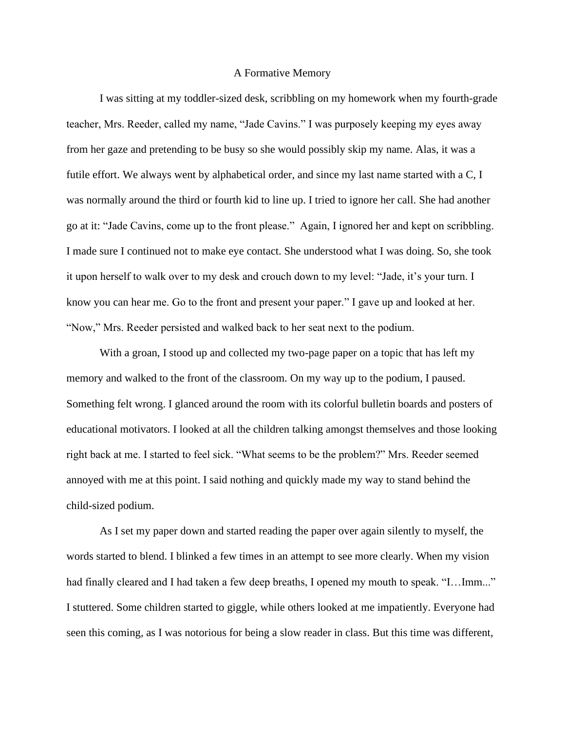## A Formative Memory

I was sitting at my toddler-sized desk, scribbling on my homework when my fourth-grade teacher, Mrs. Reeder, called my name, "Jade Cavins." I was purposely keeping my eyes away from her gaze and pretending to be busy so she would possibly skip my name. Alas, it was a futile effort. We always went by alphabetical order, and since my last name started with a C, I was normally around the third or fourth kid to line up. I tried to ignore her call. She had another go at it: "Jade Cavins, come up to the front please." Again, I ignored her and kept on scribbling. I made sure I continued not to make eye contact. She understood what I was doing. So, she took it upon herself to walk over to my desk and crouch down to my level: "Jade, it's your turn. I know you can hear me. Go to the front and present your paper." I gave up and looked at her. "Now," Mrs. Reeder persisted and walked back to her seat next to the podium.

With a groan, I stood up and collected my two-page paper on a topic that has left my memory and walked to the front of the classroom. On my way up to the podium, I paused. Something felt wrong. I glanced around the room with its colorful bulletin boards and posters of educational motivators. I looked at all the children talking amongst themselves and those looking right back at me. I started to feel sick. "What seems to be the problem?" Mrs. Reeder seemed annoyed with me at this point. I said nothing and quickly made my way to stand behind the child-sized podium.

As I set my paper down and started reading the paper over again silently to myself, the words started to blend. I blinked a few times in an attempt to see more clearly. When my vision had finally cleared and I had taken a few deep breaths, I opened my mouth to speak. "I...Imm..." I stuttered. Some children started to giggle, while others looked at me impatiently. Everyone had seen this coming, as I was notorious for being a slow reader in class. But this time was different,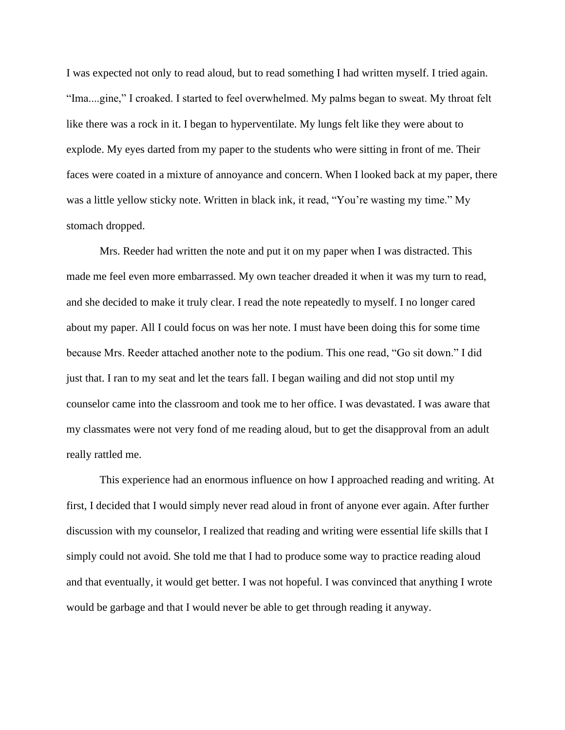I was expected not only to read aloud, but to read something I had written myself. I tried again. "Ima....gine," I croaked. I started to feel overwhelmed. My palms began to sweat. My throat felt like there was a rock in it. I began to hyperventilate. My lungs felt like they were about to explode. My eyes darted from my paper to the students who were sitting in front of me. Their faces were coated in a mixture of annoyance and concern. When I looked back at my paper, there was a little yellow sticky note. Written in black ink, it read, "You're wasting my time." My stomach dropped.

Mrs. Reeder had written the note and put it on my paper when I was distracted. This made me feel even more embarrassed. My own teacher dreaded it when it was my turn to read, and she decided to make it truly clear. I read the note repeatedly to myself. I no longer cared about my paper. All I could focus on was her note. I must have been doing this for some time because Mrs. Reeder attached another note to the podium. This one read, "Go sit down." I did just that. I ran to my seat and let the tears fall. I began wailing and did not stop until my counselor came into the classroom and took me to her office. I was devastated. I was aware that my classmates were not very fond of me reading aloud, but to get the disapproval from an adult really rattled me.

This experience had an enormous influence on how I approached reading and writing. At first, I decided that I would simply never read aloud in front of anyone ever again. After further discussion with my counselor, I realized that reading and writing were essential life skills that I simply could not avoid. She told me that I had to produce some way to practice reading aloud and that eventually, it would get better. I was not hopeful. I was convinced that anything I wrote would be garbage and that I would never be able to get through reading it anyway.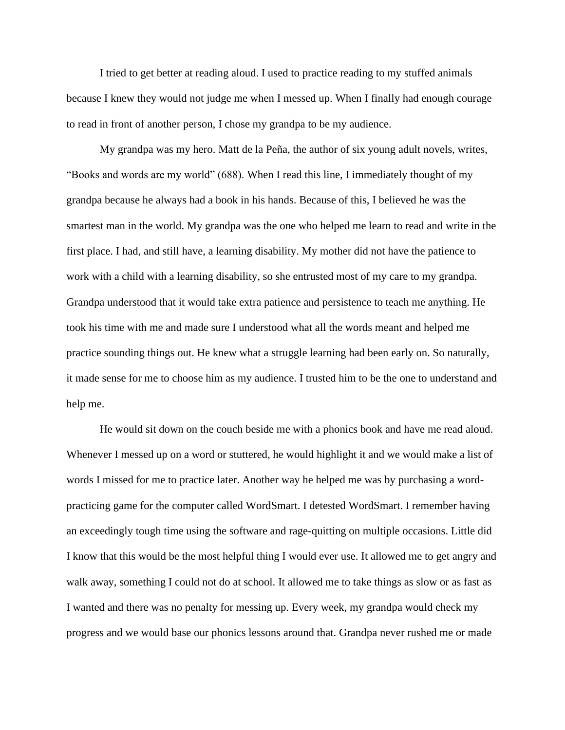I tried to get better at reading aloud. I used to practice reading to my stuffed animals because I knew they would not judge me when I messed up. When I finally had enough courage to read in front of another person, I chose my grandpa to be my audience.

My grandpa was my hero. Matt de la Peña, the author of six young adult novels, writes, "Books and words are my world" (688). When I read this line, I immediately thought of my grandpa because he always had a book in his hands. Because of this, I believed he was the smartest man in the world. My grandpa was the one who helped me learn to read and write in the first place. I had, and still have, a learning disability. My mother did not have the patience to work with a child with a learning disability, so she entrusted most of my care to my grandpa. Grandpa understood that it would take extra patience and persistence to teach me anything. He took his time with me and made sure I understood what all the words meant and helped me practice sounding things out. He knew what a struggle learning had been early on. So naturally, it made sense for me to choose him as my audience. I trusted him to be the one to understand and help me.

He would sit down on the couch beside me with a phonics book and have me read aloud. Whenever I messed up on a word or stuttered, he would highlight it and we would make a list of words I missed for me to practice later. Another way he helped me was by purchasing a wordpracticing game for the computer called WordSmart. I detested WordSmart. I remember having an exceedingly tough time using the software and rage-quitting on multiple occasions. Little did I know that this would be the most helpful thing I would ever use. It allowed me to get angry and walk away, something I could not do at school. It allowed me to take things as slow or as fast as I wanted and there was no penalty for messing up. Every week, my grandpa would check my progress and we would base our phonics lessons around that. Grandpa never rushed me or made